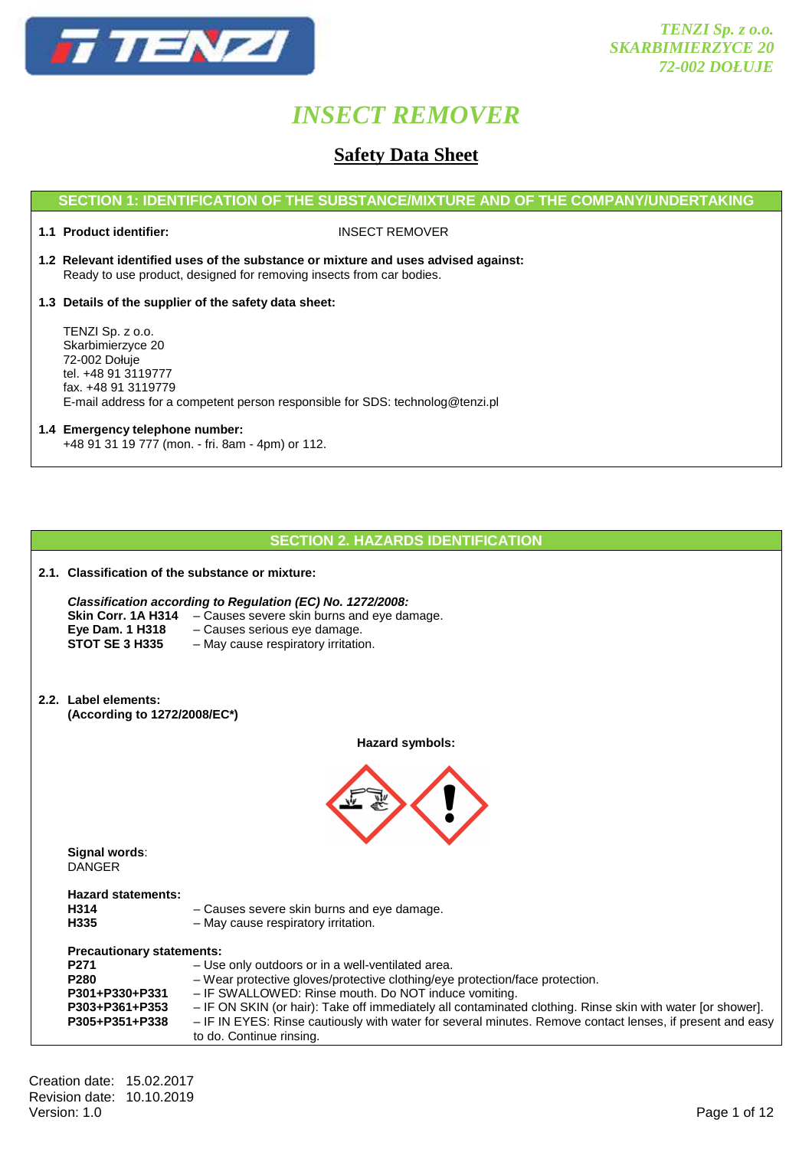

### **Safety Data Sheet**

#### **SECTION 1: IDENTIFICATION OF THE SUBSTANCE/MIXTURE AND OF THE COMPANY/UNDERTAKING**

**1.1 Product identifier:** INSECT REMOVER

- **1.2 Relevant identified uses of the substance or mixture and uses advised against:** Ready to use product, designed for removing insects from car bodies.
- **1.3 Details of the supplier of the safety data sheet:**

 TENZI Sp. z o.o. Skarbimierzyce 20 72-002 Dołuje tel. +48 91 3119777 fax. +48 91 3119779 E-mail address for a competent person responsible for SDS: technolog@tenzi.pl

#### **1.4 Emergency telephone number:** +48 91 31 19 777 (mon. - fri. 8am - 4pm) or 112.

#### **SECTION 2. HAZARDS IDENTIFICATION**

| 2.1. Classification of the substance or mixture:                                                                               |                                                                                                                                                                                                    |  |  |  |  |
|--------------------------------------------------------------------------------------------------------------------------------|----------------------------------------------------------------------------------------------------------------------------------------------------------------------------------------------------|--|--|--|--|
| Eye Dam. 1 H318<br><b>STOT SE 3 H335</b>                                                                                       | Classification according to Regulation (EC) No. 1272/2008:<br>Skin Corr. 1A H314 - Causes severe skin burns and eye damage.<br>- Causes serious eye damage.<br>- May cause respiratory irritation. |  |  |  |  |
| 2.2. Label elements:<br>(According to 1272/2008/EC*)                                                                           |                                                                                                                                                                                                    |  |  |  |  |
|                                                                                                                                | Hazard symbols:                                                                                                                                                                                    |  |  |  |  |
|                                                                                                                                |                                                                                                                                                                                                    |  |  |  |  |
| Signal words:<br><b>DANGER</b>                                                                                                 |                                                                                                                                                                                                    |  |  |  |  |
| <b>Hazard statements:</b><br>- Causes severe skin burns and eye damage.<br>H314<br>- May cause respiratory irritation.<br>H335 |                                                                                                                                                                                                    |  |  |  |  |
| <b>Precautionary statements:</b>                                                                                               |                                                                                                                                                                                                    |  |  |  |  |
| P271<br>- Use only outdoors or in a well-ventilated area.                                                                      |                                                                                                                                                                                                    |  |  |  |  |
| P <sub>280</sub><br>P301+P330+P331                                                                                             | - Wear protective gloves/protective clothing/eye protection/face protection.<br>- IF SWALLOWED: Rinse mouth. Do NOT induce vomiting.                                                               |  |  |  |  |
| P303+P361+P353                                                                                                                 | - IF ON SKIN (or hair): Take off immediately all contaminated clothing. Rinse skin with water [or shower].                                                                                         |  |  |  |  |
| P305+P351+P338                                                                                                                 | - IF IN EYES: Rinse cautiously with water for several minutes. Remove contact lenses, if present and easy<br>to do. Continue rinsing.                                                              |  |  |  |  |
|                                                                                                                                |                                                                                                                                                                                                    |  |  |  |  |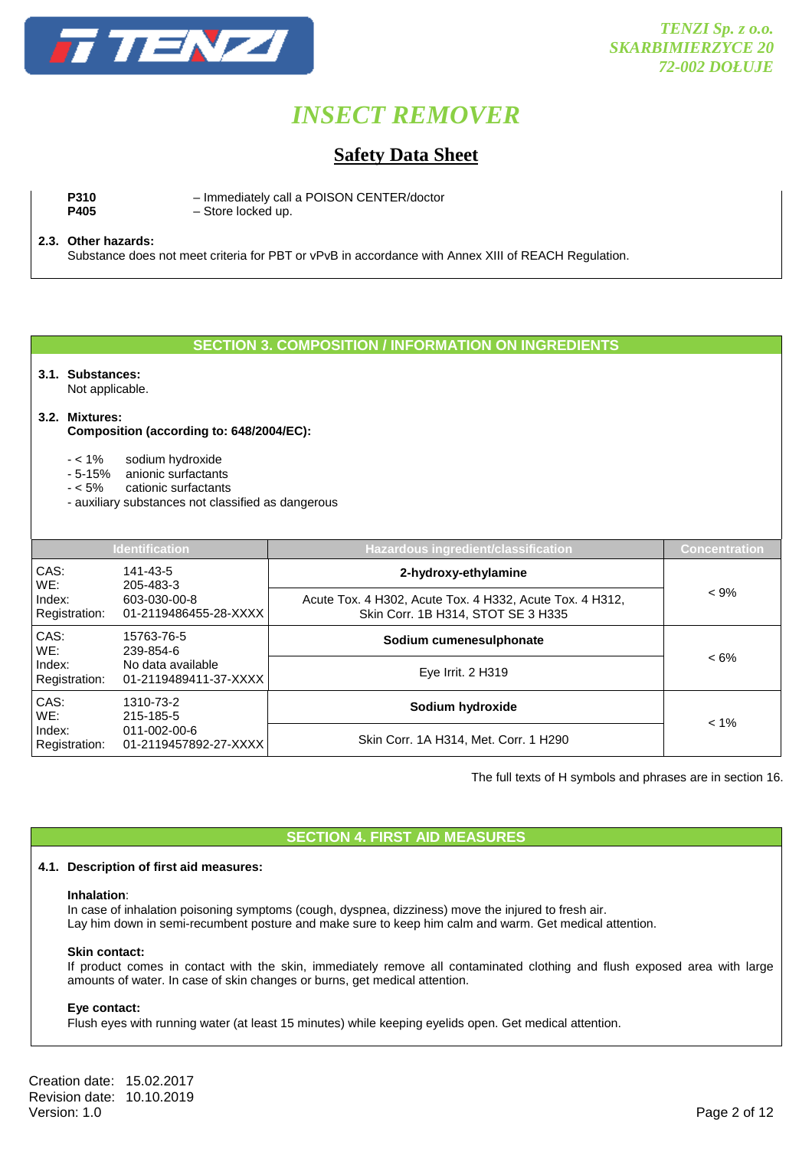

### **Safety Data Sheet**

**P310** – Immediately call a POISON CENTER/doctor<br> **P405** – Store locked up.  $-$  Store locked up.

#### **2.3. Other hazards:**

Substance does not meet criteria for PBT or vPvB in accordance with Annex XIII of REACH Regulation.

#### **SECTION 3. COMPOSITION / INFORMATION ON INGREDIENTS**

#### **3.1. Substances:**

Not applicable.

#### **3.2. Mixtures:**

 **Composition (according to: 648/2004/EC):** 

- < 1% sodium hydroxide
- 5-15% anionic surfactants
- < 5% cationic surfactants
- auxiliary substances not classified as dangerous

| <b>Identification</b>   |                                                                       | <b>Hazardous ingredient/classification</b>                                                     | <b>Concentration</b> |
|-------------------------|-----------------------------------------------------------------------|------------------------------------------------------------------------------------------------|----------------------|
| CAS:<br>WE:             | 141-43-5<br>205-483-3                                                 | 2-hydroxy-ethylamine                                                                           |                      |
| Index:<br>Registration: | 603-030-00-8<br>01-2119486455-28-XXXX                                 | Acute Tox. 4 H302, Acute Tox. 4 H332, Acute Tox. 4 H312,<br>Skin Corr. 1B H314, STOT SE 3 H335 | $< 9\%$              |
| CAS:<br>WE:             | 15763-76-5<br>239-854-6<br>No data available<br>01-2119489411-37-XXXX | Sodium cumenesulphonate                                                                        |                      |
| Index:<br>Registration: |                                                                       | Eye Irrit. 2 H319                                                                              | $< 6\%$              |
| CAS:<br>WE:             | 1310-73-2<br>215-185-5<br>011-002-00-6<br>01-2119457892-27-XXXX       | Sodium hydroxide                                                                               |                      |
| Index:<br>Registration: |                                                                       | Skin Corr. 1A H314, Met. Corr. 1 H290                                                          | $< 1\%$              |

The full texts of H symbols and phrases are in section 16.

#### **SECTION 4. FIRST AID MEASURES**

#### **4.1. Description of first aid measures:**

#### **Inhalation**:

In case of inhalation poisoning symptoms (cough, dyspnea, dizziness) move the injured to fresh air. Lay him down in semi-recumbent posture and make sure to keep him calm and warm. Get medical attention.

#### **Skin contact:**

If product comes in contact with the skin, immediately remove all contaminated clothing and flush exposed area with large amounts of water. In case of skin changes or burns, get medical attention.

#### **Eye contact:**

Flush eyes with running water (at least 15 minutes) while keeping eyelids open. Get medical attention.

Creation date: 15.02.2017 Revision date: 10.10.2019<br>Version: 1.0 Version: 1.0 Page 2 of 12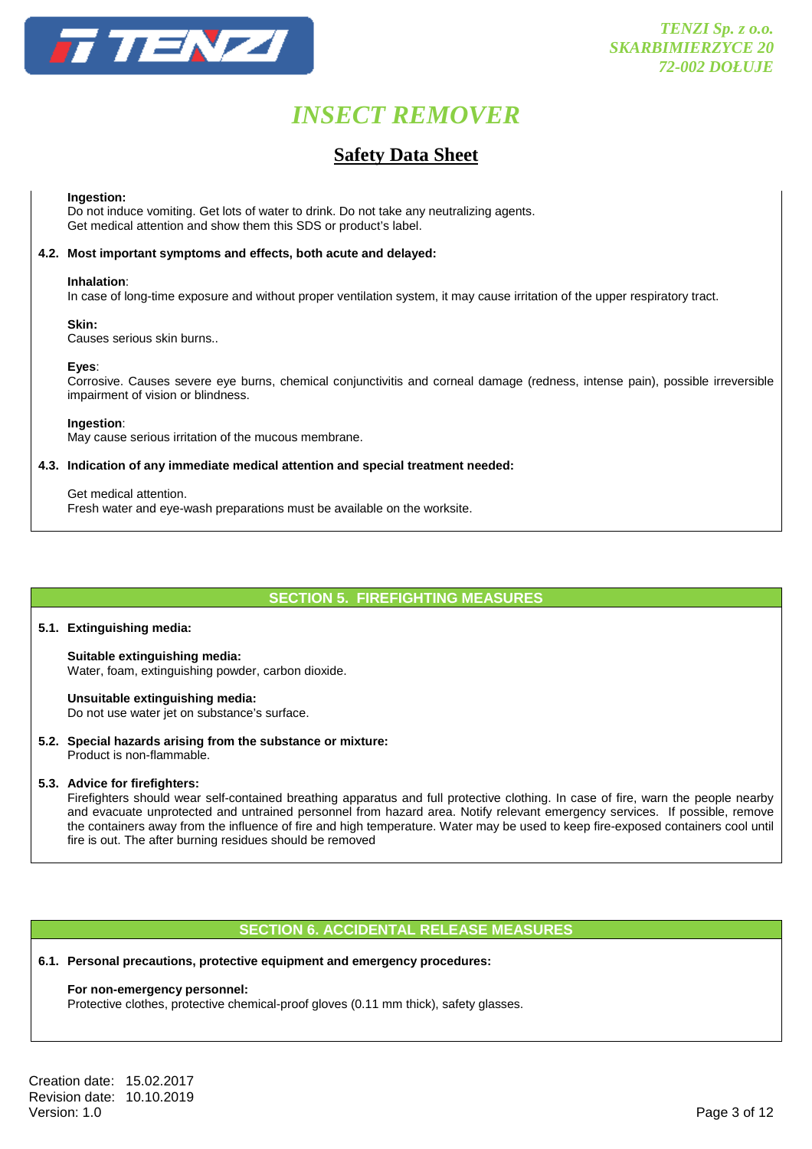

### **Safety Data Sheet**

#### **Ingestion:**

Do not induce vomiting. Get lots of water to drink. Do not take any neutralizing agents. Get medical attention and show them this SDS or product's label.

#### **4.2. Most important symptoms and effects, both acute and delayed:**

#### **Inhalation**:

In case of long-time exposure and without proper ventilation system, it may cause irritation of the upper respiratory tract.

#### **Skin:**

Causes serious skin burns..

#### **Eyes**:

Corrosive. Causes severe eye burns, chemical conjunctivitis and corneal damage (redness, intense pain), possible irreversible impairment of vision or blindness.

#### **Ingestion**:

May cause serious irritation of the mucous membrane.

#### **4.3. Indication of any immediate medical attention and special treatment needed:**

Get medical attention.

Fresh water and eye-wash preparations must be available on the worksite.

#### **SECTION 5. FIREFIGHTING MEASURES**

#### **5.1. Extinguishing media:**

**Suitable extinguishing media:**  Water, foam, extinguishing powder, carbon dioxide.

**Unsuitable extinguishing media:**  Do not use water jet on substance's surface.

**5.2. Special hazards arising from the substance or mixture:**  Product is non-flammable.

#### **5.3. Advice for firefighters:**

 Firefighters should wear self-contained breathing apparatus and full protective clothing. In case of fire, warn the people nearby and evacuate unprotected and untrained personnel from hazard area. Notify relevant emergency services. If possible, remove the containers away from the influence of fire and high temperature. Water may be used to keep fire-exposed containers cool until fire is out. The after burning residues should be removed

#### **SECTION 6. ACCIDENTAL RELEASE MEASURES**

#### **6.1. Personal precautions, protective equipment and emergency procedures:**

#### **For non-emergency personnel:**

Protective clothes, protective chemical-proof gloves (0.11 mm thick), safety glasses.

Creation date: 15.02.2017 Revision date: 10.10.2019<br>Version: 1.0 Version: 1.0 Page 3 of 12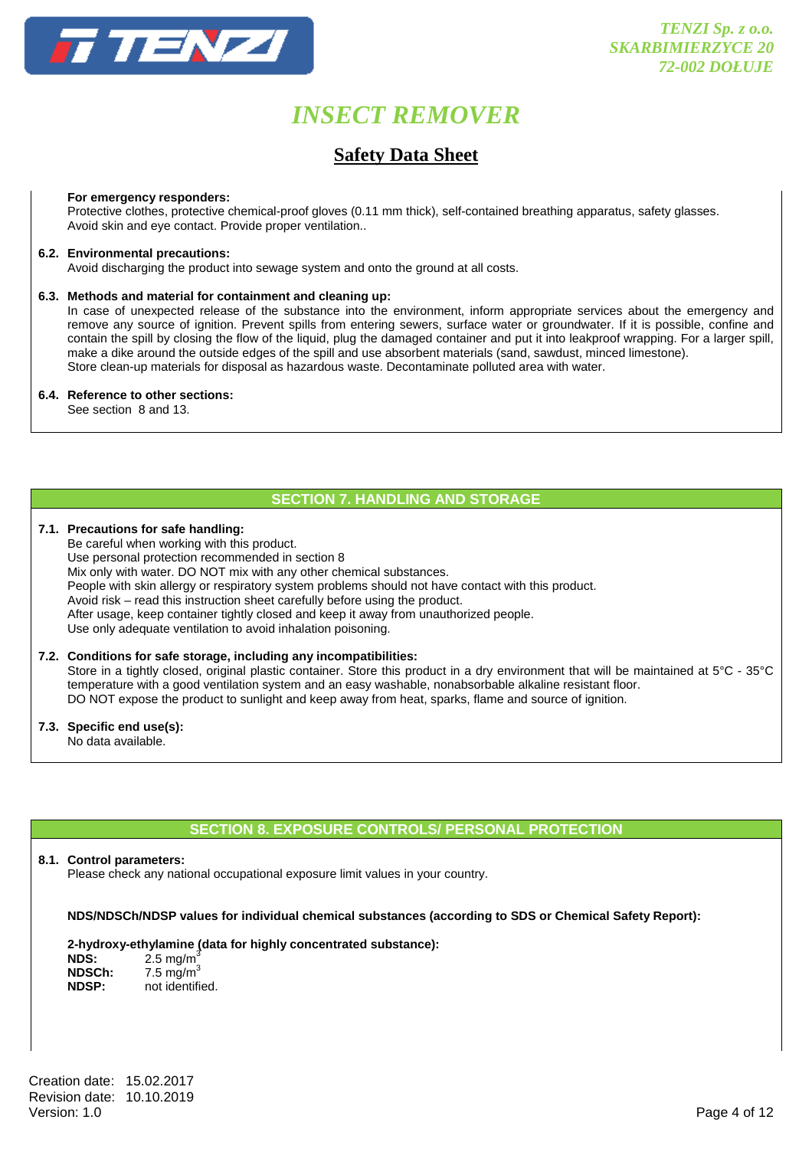

### **Safety Data Sheet**

#### **For emergency responders:**

 Protective clothes, protective chemical-proof gloves (0.11 mm thick), self-contained breathing apparatus, safety glasses. Avoid skin and eye contact. Provide proper ventilation..

#### **6.2. Environmental precautions:**

Avoid discharging the product into sewage system and onto the ground at all costs.

#### **6.3. Methods and material for containment and cleaning up:**

 In case of unexpected release of the substance into the environment, inform appropriate services about the emergency and remove any source of ignition. Prevent spills from entering sewers, surface water or groundwater. If it is possible, confine and contain the spill by closing the flow of the liquid, plug the damaged container and put it into leakproof wrapping. For a larger spill, make a dike around the outside edges of the spill and use absorbent materials (sand, sawdust, minced limestone). Store clean-up materials for disposal as hazardous waste. Decontaminate polluted area with water.

#### **6.4. Reference to other sections:**

See section 8 and 13.

#### **SECTION 7. HANDLING AND STORAGE**

#### **7.1. Precautions for safe handling:**

 Be careful when working with this product. Use personal protection recommended in section 8 Mix only with water. DO NOT mix with any other chemical substances. People with skin allergy or respiratory system problems should not have contact with this product. Avoid risk – read this instruction sheet carefully before using the product. After usage, keep container tightly closed and keep it away from unauthorized people. Use only adequate ventilation to avoid inhalation poisoning.

#### **7.2. Conditions for safe storage, including any incompatibilities:**

Store in a tightly closed, original plastic container. Store this product in a dry environment that will be maintained at 5°C - 35°C temperature with a good ventilation system and an easy washable, nonabsorbable alkaline resistant floor. DO NOT expose the product to sunlight and keep away from heat, sparks, flame and source of ignition.

#### **7.3. Specific end use(s):**

No data available.

#### **SECTION 8. EXPOSURE CONTROLS/ PERSONAL PROTECTION**

#### **8.1. Control parameters:**

Please check any national occupational exposure limit values in your country.

#### **NDS/NDSCh/NDSP values for individual chemical substances (according to SDS or Chemical Safety Report):**

#### **2-hydroxy-ethylamine (data for highly concentrated substance):**

| NDS:         | $2.5 \text{ mg/m}^3$ |
|--------------|----------------------|
| NDSCh:       | 7.5 mg/m $3$         |
| <b>NDSP:</b> | not identified.      |

Creation date: 15.02.2017 Revision date: 10.10.2019<br>Version: 1.0 Version: 1.0 Page 4 of 12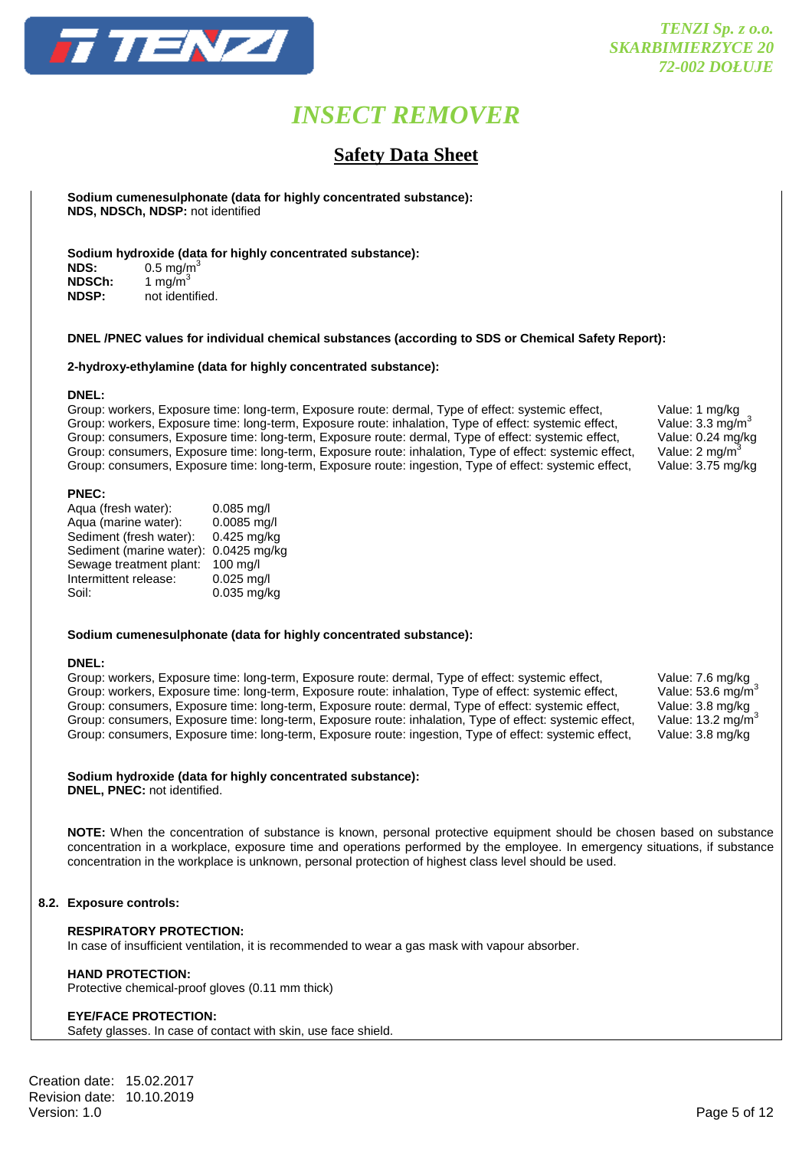

### **Safety Data Sheet**

 **Sodium cumenesulphonate (data for highly concentrated substance): NDS, NDSCh, NDSP:** not identified

**Sodium hydroxide (data for highly concentrated substance):** 

**NDS:** 0.5 mg/m<sup>3</sup> **NDSCh:** 1 mg/m<sup>3</sup><br>**NDSP:** not ident **NDSP:** not identified.

#### **DNEL /PNEC values for individual chemical substances (according to SDS or Chemical Safety Report):**

**2-hydroxy-ethylamine (data for highly concentrated substance):** 

#### **DNEL:**

Group: workers, Exposure time: long-term, Exposure route: dermal, Type of effect: systemic effect, Value: 1 mg/kg<br>Group: workers, Exposure time: long-term, Exposure route: inhalation, Type of effect: systemic effect, Value Group: workers, Exposure time: long-term, Exposure route: inhalation, Type of effect: systemic effect, Value: 3.3 mg/m<sup>3</sup><br>Group: consumers, Exposure time: long-term, Exposure route: dermal, Type of effect: systemic effect, Group: consumers, Exposure time: long-term, Exposure route: dermal, Type of effect: systemic effect, Group: consumers, Exposure time: long-term, Exposure route: inhalation, Type of effect: systemic effect, Value: 2 mg/m<sup>3</sup> Group: consumers, Exposure time: long-term, Exposure route: ingestion, Type of effect: systemic effect, Value: 3.75 mg/kg

#### **PNEC:**

| Aqua (fresh water):      | $0.085$ mg/l |
|--------------------------|--------------|
| Aqua (marine water):     | 0.0085 mg/l  |
| Sediment (fresh water):  | 0.425 mg/kg  |
| Sediment (marine water): | 0.0425 mg/kg |
| Sewage treatment plant:  | 100 mg/l     |
| Intermittent release:    | $0.025$ mg/l |
| Soil:                    | 0.035 mg/kg  |
|                          |              |

#### **Sodium cumenesulphonate (data for highly concentrated substance):**

#### **DNEL:**

Group: workers, Exposure time: long-term, Exposure route: dermal, Type of effect: systemic effect, Value: 7.6 mg/kg<br>Group: workers, Exposure time: long-term, Exposure route: inhalation, Type of effect: systemic effect, Val Group: workers, Exposure time: long-term, Exposure route: inhalation, Type of effect: systemic effect, Value: 53.6 mg/m<sup>3</sup><br>Group: consumers, Exposure time: long-term, Exposure route: dermal, Type of effect: systemic effect Group: consumers, Exposure time: long-term, Exposure route: dermal, Type of effect: systemic effect, Group: consumers, Exposure time: long-term, Exposure route: inhalation, Type of effect: systemic effect, Group: consumers, Exposure time: long-term, Exposure route: ingestion, Type of effect: systemic effect, Value: 3.8 mg/kg

#### **Sodium hydroxide (data for highly concentrated substance):**

**DNEL, PNEC:** not identified.

**NOTE:** When the concentration of substance is known, personal protective equipment should be chosen based on substance concentration in a workplace, exposure time and operations performed by the employee. In emergency situations, if substance concentration in the workplace is unknown, personal protection of highest class level should be used.

#### **8.2. Exposure controls:**

#### **RESPIRATORY PROTECTION:**

In case of insufficient ventilation, it is recommended to wear a gas mask with vapour absorber.

#### **HAND PROTECTION:**

Protective chemical-proof gloves (0.11 mm thick)

#### **EYE/FACE PROTECTION:**

Safety glasses. In case of contact with skin, use face shield.

Creation date: 15.02.2017 Revision date: 10.10.2019<br>Version: 1.0 Version: 1.0 Page 5 of 12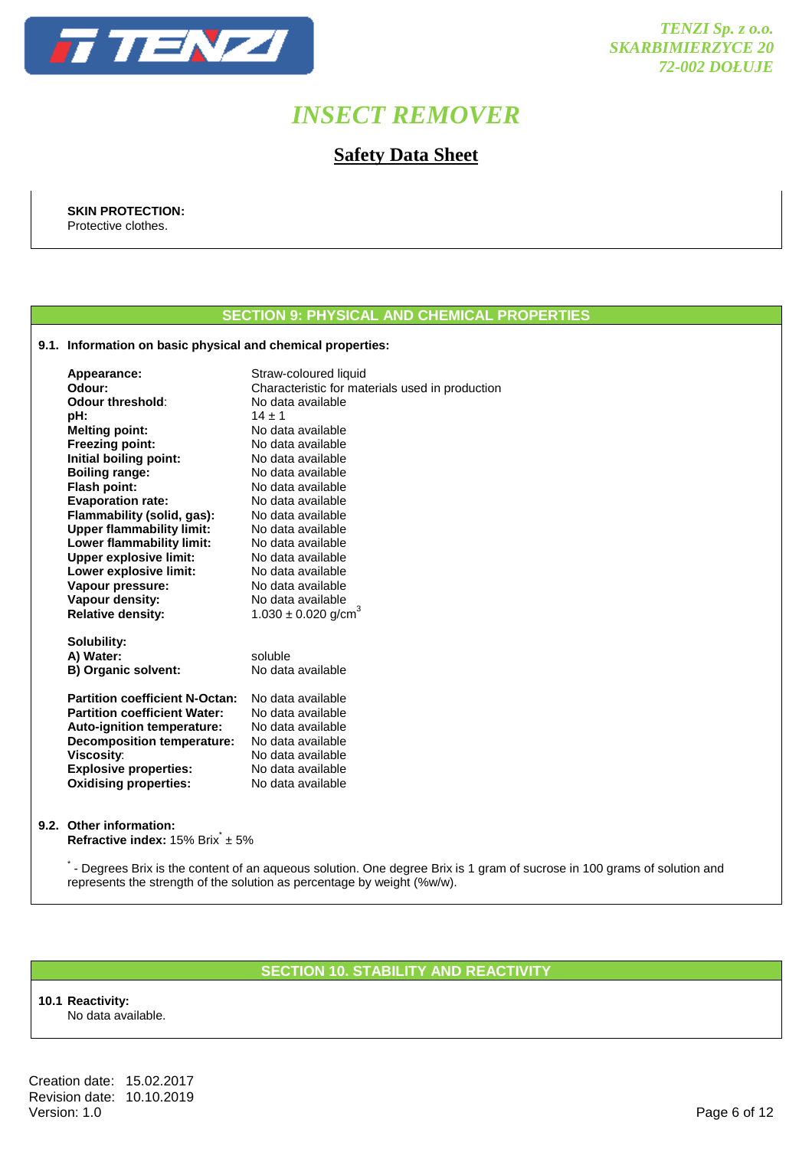

### **Safety Data Sheet**

 **SKIN PROTECTION:**  Protective clothes.

### **SECTION 9: PHYSICAL AND CHEMICAL PROPERTIES**

#### **9.1. Information on basic physical and chemical properties:**

| Appearance:                           | Straw-coloured liquid                           |
|---------------------------------------|-------------------------------------------------|
| Odour:                                | Characteristic for materials used in production |
| Odour threshold:                      | No data available                               |
| pH:                                   | $14 + 1$                                        |
| <b>Melting point:</b>                 | No data available                               |
| <b>Freezing point:</b>                | No data available                               |
| Initial boiling point:                | No data available                               |
| <b>Boiling range:</b>                 | No data available                               |
| <b>Flash point:</b>                   | No data available                               |
| <b>Evaporation rate:</b>              | No data available                               |
| Flammability (solid, gas):            | No data available                               |
| <b>Upper flammability limit:</b>      | No data available                               |
| Lower flammability limit:             | No data available                               |
| <b>Upper explosive limit:</b>         | No data available                               |
| Lower explosive limit:                | No data available                               |
| Vapour pressure:                      | No data available                               |
| Vapour density:                       | No data available                               |
| <b>Relative density:</b>              | $1.030 \pm 0.020$ g/cm <sup>3</sup>             |
|                                       |                                                 |
| Solubility:<br>A) Water:              | soluble                                         |
| B) Organic solvent:                   | No data available                               |
|                                       |                                                 |
| <b>Partition coefficient N-Octan:</b> | No data available                               |
| <b>Partition coefficient Water:</b>   | No data available                               |
| Auto-ignition temperature:            | No data available                               |
| <b>Decomposition temperature:</b>     | No data available                               |
| <b>Viscosity:</b>                     | No data available                               |
| <b>Explosive properties:</b>          | No data available                               |
| <b>Oxidising properties:</b>          | No data available                               |
|                                       |                                                 |
|                                       |                                                 |

#### **9.2. Other information:**

**Refractive index:** 15% Brix<sup>\*</sup> ± 5%

\*- Degrees Brix is the content of an aqueous solution. One degree Brix is 1 gram of sucrose in 100 grams of solution and represents the strength of the solution as percentage by weight (%w/w).

#### **SECTION 10. STABILITY AND REACTIVITY**

**10.1 Reactivity:**  No data available.

Creation date: 15.02.2017 Revision date: 10.10.2019<br>Version: 1.0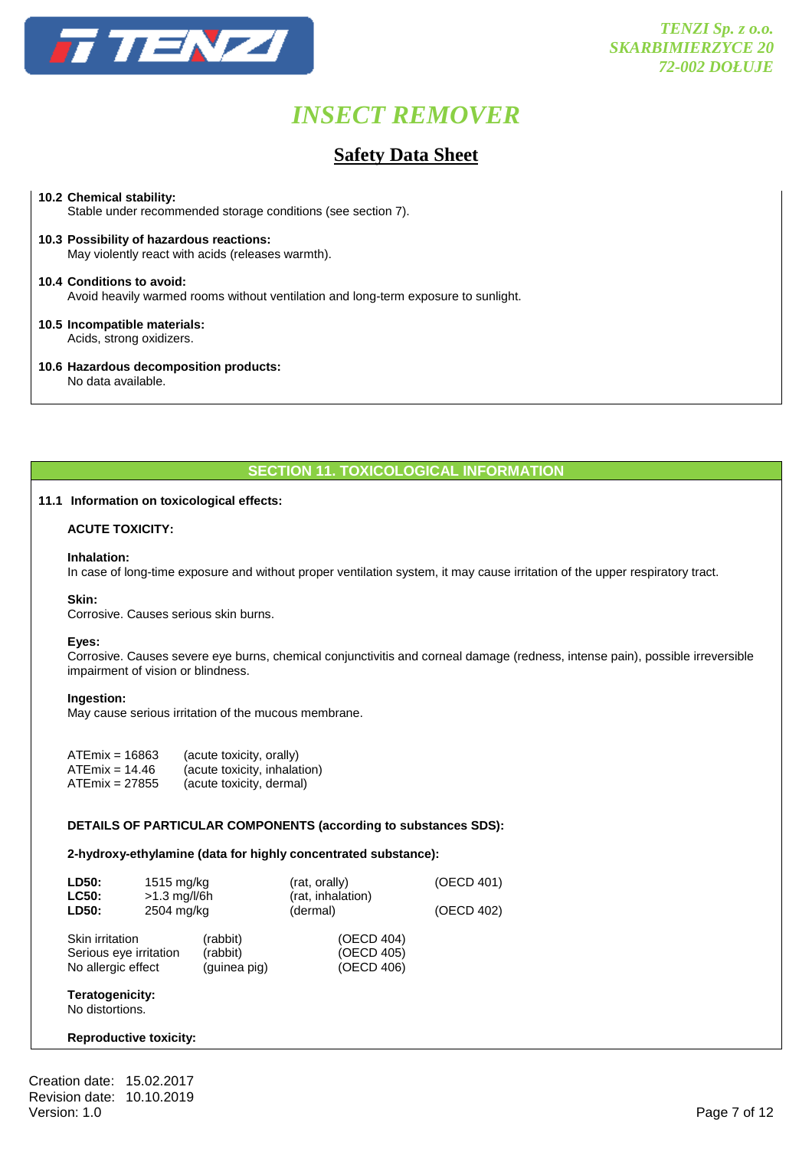

### **Safety Data Sheet**

#### **10.2 Chemical stability:**

Stable under recommended storage conditions (see section 7).

**10.3 Possibility of hazardous reactions:** May violently react with acids (releases warmth).

**10.4 Conditions to avoid:** Avoid heavily warmed rooms without ventilation and long-term exposure to sunlight.

#### **10.5 Incompatible materials:** Acids, strong oxidizers.

**10.6 Hazardous decomposition products:**

No data available.

#### **SECTION 11. TOXICOLOGICAL INFORMATION**

#### **11.1 Information on toxicological effects:**

#### **ACUTE TOXICITY:**

#### **Inhalation:**

In case of long-time exposure and without proper ventilation system, it may cause irritation of the upper respiratory tract.

#### **Skin:**

Corrosive. Causes serious skin burns.

#### **Eyes:**

 Corrosive. Causes severe eye burns, chemical conjunctivitis and corneal damage (redness, intense pain), possible irreversible impairment of vision or blindness.

#### **Ingestion:**

May cause serious irritation of the mucous membrane.

| $ATEmix = 16863$ | (acute toxicity, orally)     |
|------------------|------------------------------|
| $ATEmix = 14.46$ | (acute toxicity, inhalation) |
| $ATEmix = 27855$ | (acute toxicity, dermal)     |

#### **DETAILS OF PARTICULAR COMPONENTS (according to substances SDS):**

#### **2-hydroxy-ethylamine (data for highly concentrated substance):**

| LD50:<br><b>LC50:</b><br>LD50:                                  | 1515 mg/kg<br>$>1.3$ mg/l/6h<br>2504 mg/kg |                                      | (rat, orally)<br>(rat, inhalation)<br>(dermal) | (OECD 401)<br>(OECD 402) |
|-----------------------------------------------------------------|--------------------------------------------|--------------------------------------|------------------------------------------------|--------------------------|
| Skin irritation<br>Serious eye irritation<br>No allergic effect |                                            | (rabbit)<br>(rabbit)<br>(guinea pig) | (OECD 404)<br>(OECD 405)<br>(OECD 406)         |                          |

#### **Teratogenicity:**

No distortions.

#### **Reproductive toxicity:**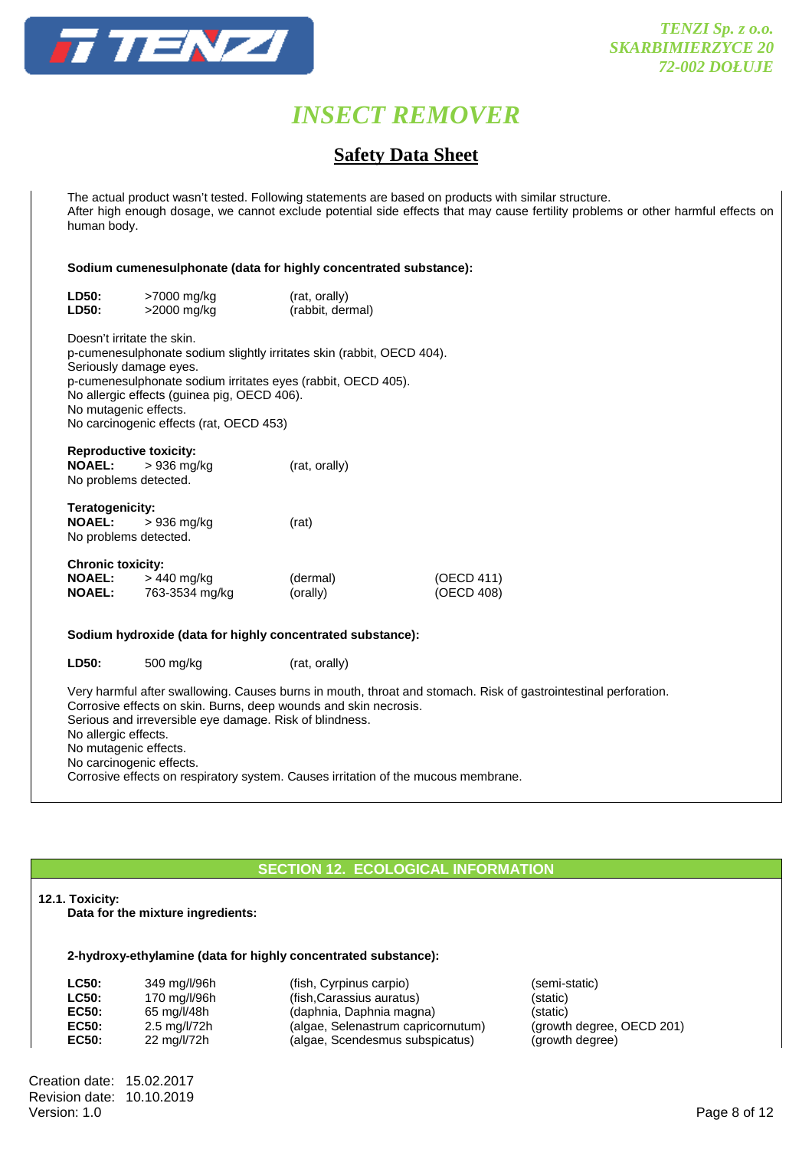

### **Safety Data Sheet**

 The actual product wasn't tested. Following statements are based on products with similar structure. After high enough dosage, we cannot exclude potential side effects that may cause fertility problems or other harmful effects on human body.

#### **Sodium cumenesulphonate (data for highly concentrated substance):**

| <b>LD50:</b>                                               | >7000 mg/kg                                                                                                                                                                                                                                                                                                      | (rat, orally)        |                          |
|------------------------------------------------------------|------------------------------------------------------------------------------------------------------------------------------------------------------------------------------------------------------------------------------------------------------------------------------------------------------------------|----------------------|--------------------------|
| <b>LD50:</b>                                               | >2000 mg/kg                                                                                                                                                                                                                                                                                                      | (rabbit, dermal)     |                          |
|                                                            | Doesn't irritate the skin.<br>p-cumenesulphonate sodium slightly irritates skin (rabbit, OECD 404).<br>Seriously damage eyes.<br>p-cumenesulphonate sodium irritates eyes (rabbit, OECD 405).<br>No allergic effects (guinea pig, OECD 406).<br>No mutagenic effects.<br>No carcinogenic effects (rat, OECD 453) |                      |                          |
| <b>NOAEL:</b>                                              | <b>Reproductive toxicity:</b><br>> 936 mg/kg<br>No problems detected.                                                                                                                                                                                                                                            | (rat, orally)        |                          |
| <b>Teratogenicity:</b><br><b>NOAEL:</b>                    | > 936 mg/kg<br>No problems detected.                                                                                                                                                                                                                                                                             | (rat)                |                          |
| <b>Chronic toxicity:</b><br><b>NOAEL:</b><br><b>NOAEL:</b> | > 440 mg/kg<br>763-3534 mg/kg                                                                                                                                                                                                                                                                                    | (dermal)<br>(orally) | (OECD 411)<br>(OECD 408) |
|                                                            | Sodium hydroxide (data for highly concentrated substance):                                                                                                                                                                                                                                                       |                      |                          |
| LD50:                                                      | 500 mg/kg                                                                                                                                                                                                                                                                                                        | (rat, orally)        |                          |
|                                                            |                                                                                                                                                                                                                                                                                                                  |                      |                          |

 Very harmful after swallowing. Causes burns in mouth, throat and stomach. Risk of gastrointestinal perforation. Corrosive effects on skin. Burns, deep wounds and skin necrosis. Serious and irreversible eye damage. Risk of blindness. No allergic effects. No mutagenic effects. No carcinogenic effects. Corrosive effects on respiratory system. Causes irritation of the mucous membrane.

#### **SECTION 12. ECOLOGICAL INFORMATION**

#### **12.1. Toxicity:**

**Data for the mixture ingredients:** 

#### **2-hydroxy-ethylamine (data for highly concentrated substance):**

| LC50:        | 349 mg/l/96h |
|--------------|--------------|
| <b>LC50:</b> | 170 mg/l/96h |
| EC50:        | 65 mg/l/48h  |
| EC50:        | 2.5 mg/l/72h |
| EC50:        | 22 mg/l/72h  |

(fish, Cyrpinus carpio) **(semi-static)** (fish,Carassius auratus) **(fish**,Carassius auratus) **(daphnia, Daphnia magna)** (static)<br>(algae, Selenastrum capricornutum) (growth degree, OECD 201) (algae, Selenastrum capricornutum) (algae, Scendesmus subspicatus) (growth degree)

Creation date: 15.02.2017 Revision date: 10.10.2019<br>Version: 1.0 Version: 1.0 Page 8 of 12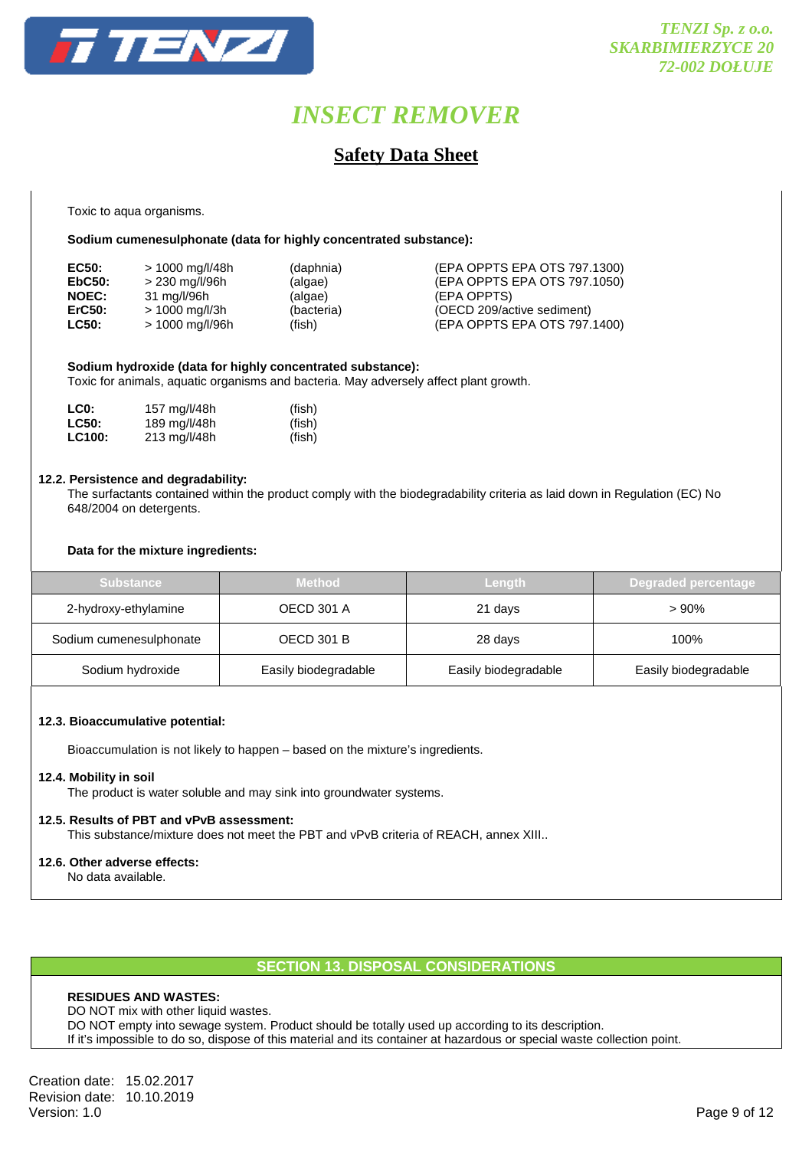

### **Safety Data Sheet**

Toxic to aqua organisms.

#### **Sodium cumenesulphonate (data for highly concentrated substance):**

| EC50:        | > 1000 mg/l/48h | (daphnia)  | (EPA OPPTS EPA OTS 797.1300) |
|--------------|-----------------|------------|------------------------------|
| EbC50:       | > 230 mg/l/96h  | (algae)    | (EPA OPPTS EPA OTS 797.1050) |
| <b>NOEC:</b> | 31 mg/l/96h     | (algae)    | (EPA OPPTS)                  |
| ErC50:       | > 1000 mg/l/3h  | (bacteria) | (OECD 209/active sediment)   |
| <b>LC50:</b> | > 1000 mg/l/96h | (fish)     | (EPA OPPTS EPA OTS 797.1400) |

#### **Sodium hydroxide (data for highly concentrated substance):**

Toxic for animals, aquatic organisms and bacteria. May adversely affect plant growth.

| LC0:          | 157 mg/l/48h | (fish) |
|---------------|--------------|--------|
| <b>LC50:</b>  | 189 mg/l/48h | (fish) |
| <b>LC100:</b> | 213 mg/l/48h | (fish) |

#### **12.2. Persistence and degradability:**

 The surfactants contained within the product comply with the biodegradability criteria as laid down in Regulation (EC) No 648/2004 on detergents.

#### **Data for the mixture ingredients:**

| <b>Substance</b>        | <b>Method</b>        | Length               | Degraded percentage  |
|-------------------------|----------------------|----------------------|----------------------|
| 2-hydroxy-ethylamine    | <b>OECD 301 A</b>    | 21 days              | $>90\%$              |
| Sodium cumenesulphonate | <b>OECD 301 B</b>    | 28 days              | $100\%$              |
| Sodium hydroxide        | Easily biodegradable | Easily biodegradable | Easily biodegradable |

#### **12.3. Bioaccumulative potential:**

Bioaccumulation is not likely to happen – based on the mixture's ingredients.

#### **12.4. Mobility in soil**

The product is water soluble and may sink into groundwater systems.

#### **12.5. Results of PBT and vPvB assessment:**

This substance/mixture does not meet the PBT and vPvB criteria of REACH, annex XIII..

#### **12.6. Other adverse effects:**

No data available.

#### **SECTION 13. DISPOSAL CONSIDERATIONS**

#### **RESIDUES AND WASTES:**

DO NOT mix with other liquid wastes. DO NOT empty into sewage system. Product should be totally used up according to its description. If it's impossible to do so, dispose of this material and its container at hazardous or special waste collection point.

Creation date: 15.02.2017 Revision date: 10.10.2019 Version: 1.0 Page 9 of 12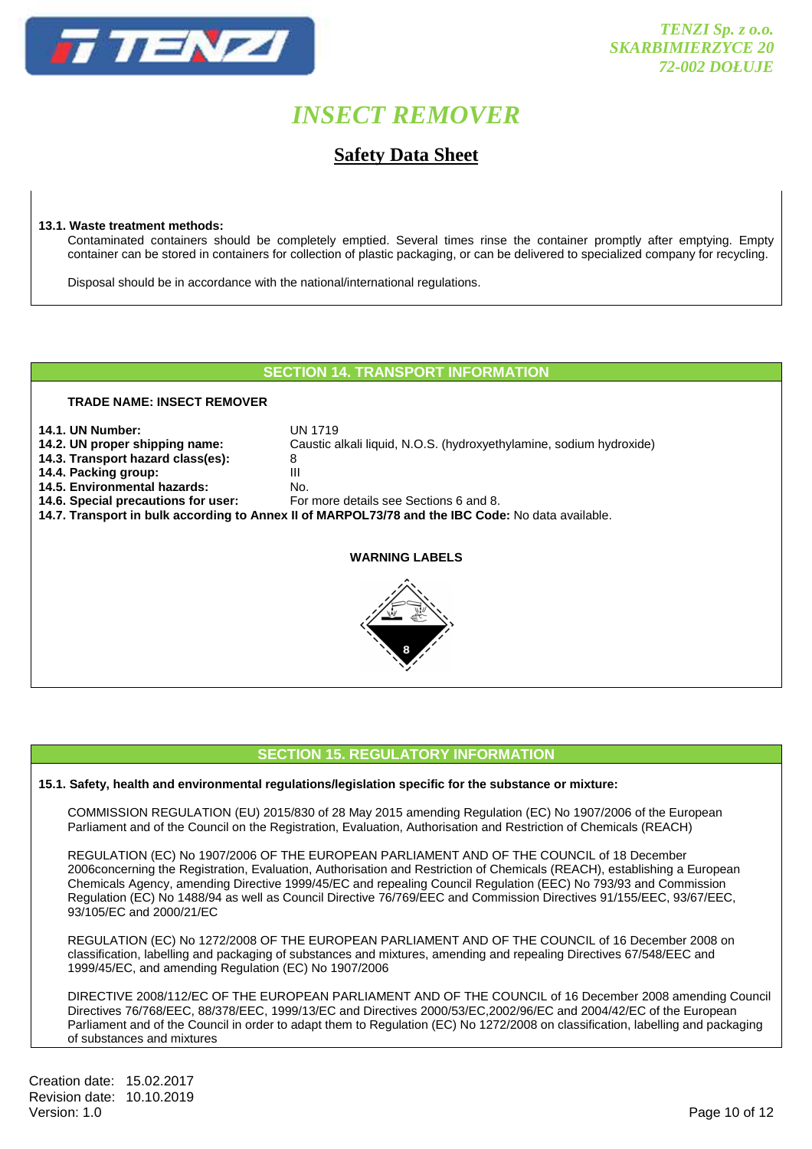

**Safety Data Sheet** 

#### **13.1. Waste treatment methods:**

 Contaminated containers should be completely emptied. Several times rinse the container promptly after emptying. Empty container can be stored in containers for collection of plastic packaging, or can be delivered to specialized company for recycling.

Disposal should be in accordance with the national/international regulations.

#### **SECTION 14. TRANSPORT INFORMATION**

#### **TRADE NAME: INSECT REMOVER**

- **14.1. UN Number:** UN 1719
- **14.2. UN proper shipping name:** Caustic alkali liquid, N.O.S. (hydroxyethylamine, sodium hydroxide)
- **14.3. Transport hazard class(es):** 8
- **14.4. Packing group:**
- **14.5. Environmental hazards:** No.
- **14.6. Special precautions for user:** For more details see Sections 6 and 8.
- **14.7. Transport in bulk according to Annex II of MARPOL73/78 and the IBC Code:** No data available.

#### **WARNING LABELS**



#### **SECTION 15. REGULATORY INFORMATION**

#### **15.1. Safety, health and environmental regulations/legislation specific for the substance or mixture:**

COMMISSION REGULATION (EU) 2015/830 of 28 May 2015 amending Regulation (EC) No 1907/2006 of the European Parliament and of the Council on the Registration, Evaluation, Authorisation and Restriction of Chemicals (REACH)

 REGULATION (EC) No 1907/2006 OF THE EUROPEAN PARLIAMENT AND OF THE COUNCIL of 18 December 2006concerning the Registration, Evaluation, Authorisation and Restriction of Chemicals (REACH), establishing a European Chemicals Agency, amending Directive 1999/45/EC and repealing Council Regulation (EEC) No 793/93 and Commission Regulation (EC) No 1488/94 as well as Council Directive 76/769/EEC and Commission Directives 91/155/EEC, 93/67/EEC, 93/105/EC and 2000/21/EC

 REGULATION (EC) No 1272/2008 OF THE EUROPEAN PARLIAMENT AND OF THE COUNCIL of 16 December 2008 on classification, labelling and packaging of substances and mixtures, amending and repealing Directives 67/548/EEC and 1999/45/EC, and amending Regulation (EC) No 1907/2006

 DIRECTIVE 2008/112/EC OF THE EUROPEAN PARLIAMENT AND OF THE COUNCIL of 16 December 2008 amending Council Directives 76/768/EEC, 88/378/EEC, 1999/13/EC and Directives 2000/53/EC,2002/96/EC and 2004/42/EC of the European Parliament and of the Council in order to adapt them to Regulation (EC) No 1272/2008 on classification, labelling and packaging of substances and mixtures

Creation date: 15.02.2017 Revision date: 10.10.2019<br>Version: 1.0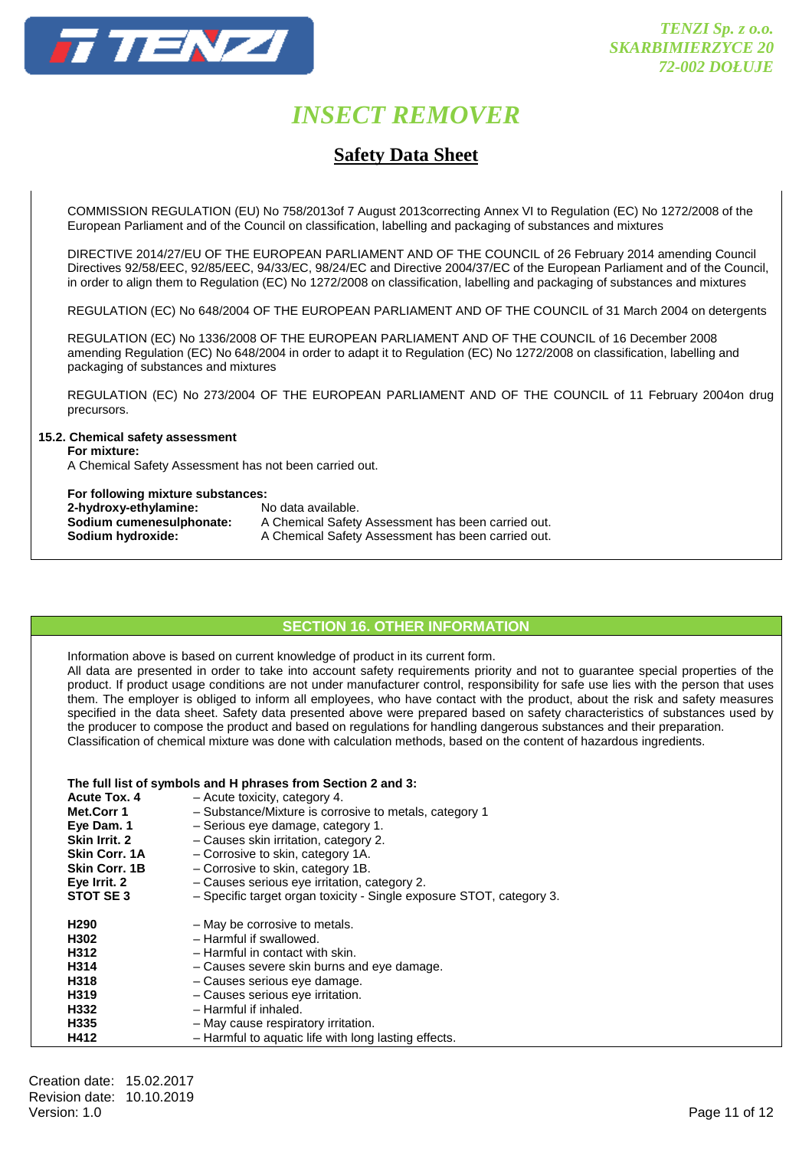

### **Safety Data Sheet**

 COMMISSION REGULATION (EU) No 758/2013of 7 August 2013correcting Annex VI to Regulation (EC) No 1272/2008 of the European Parliament and of the Council on classification, labelling and packaging of substances and mixtures

 DIRECTIVE 2014/27/EU OF THE EUROPEAN PARLIAMENT AND OF THE COUNCIL of 26 February 2014 amending Council Directives 92/58/EEC, 92/85/EEC, 94/33/EC, 98/24/EC and Directive 2004/37/EC of the European Parliament and of the Council, in order to align them to Regulation (EC) No 1272/2008 on classification, labelling and packaging of substances and mixtures

REGULATION (EC) No 648/2004 OF THE EUROPEAN PARLIAMENT AND OF THE COUNCIL of 31 March 2004 on detergents

 REGULATION (EC) No 1336/2008 OF THE EUROPEAN PARLIAMENT AND OF THE COUNCIL of 16 December 2008 amending Regulation (EC) No 648/2004 in order to adapt it to Regulation (EC) No 1272/2008 on classification, labelling and packaging of substances and mixtures

 REGULATION (EC) No 273/2004 OF THE EUROPEAN PARLIAMENT AND OF THE COUNCIL of 11 February 2004on drug precursors.

#### **15.2. Chemical safety assessment**

 **For mixture:** 

A Chemical Safety Assessment has not been carried out.

#### **For following mixture substances:**

| 2-hydroxy-ethylamine:    | No data available.                                 |
|--------------------------|----------------------------------------------------|
| Sodium cumenesulphonate: | A Chemical Safety Assessment has been carried out. |
| Sodium hydroxide:        | A Chemical Safety Assessment has been carried out. |

#### **SECTION 16. OTHER INFORMATION**

 Information above is based on current knowledge of product in its current form. All data are presented in order to take into account safety requirements priority and not to guarantee special properties of the product. If product usage conditions are not under manufacturer control, responsibility for safe use lies with the person that uses them. The employer is obliged to inform all employees, who have contact with the product, about the risk and safety measures specified in the data sheet. Safety data presented above were prepared based on safety characteristics of substances used by the producer to compose the product and based on regulations for handling dangerous substances and their preparation. Classification of chemical mixture was done with calculation methods, based on the content of hazardous ingredients.

#### **The full list of symbols and H phrases from Section 2 and 3:**

| <b>Acute Tox. 4</b>  | - Acute toxicity, category 4.                                        |
|----------------------|----------------------------------------------------------------------|
| Met.Corr 1           | - Substance/Mixture is corrosive to metals, category 1               |
| Eye Dam. 1           | - Serious eye damage, category 1.                                    |
| Skin Irrit. 2        | - Causes skin irritation, category 2.                                |
| <b>Skin Corr. 1A</b> | - Corrosive to skin, category 1A.                                    |
| <b>Skin Corr. 1B</b> | - Corrosive to skin, category 1B.                                    |
| Eye Irrit. 2         | - Causes serious eye irritation, category 2.                         |
| STOT SE3             | - Specific target organ toxicity - Single exposure STOT, category 3. |
| H <sub>290</sub>     | - May be corrosive to metals.                                        |
| H302                 | - Harmful if swallowed.                                              |
| H312                 | - Harmful in contact with skin.                                      |
| H314                 | - Causes severe skin burns and eye damage.                           |
| H318                 | - Causes serious eye damage.                                         |
| H319                 | - Causes serious eye irritation.                                     |
| H332                 | - Harmful if inhaled.                                                |
| H335                 | - May cause respiratory irritation.                                  |
| H412                 | - Harmful to aquatic life with long lasting effects.                 |
|                      |                                                                      |

Creation date: 15.02.2017 Revision date: 10.10.2019